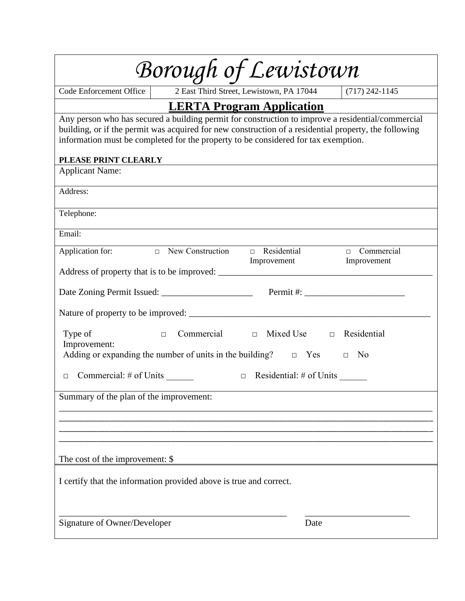| Borough of Lewistown                                                                                                                                                                                                                                                                                                     |  |  |  |  |
|--------------------------------------------------------------------------------------------------------------------------------------------------------------------------------------------------------------------------------------------------------------------------------------------------------------------------|--|--|--|--|
| $(717)$ 242-1145<br>Code Enforcement Office<br>2 East Third Street, Lewistown, PA 17044                                                                                                                                                                                                                                  |  |  |  |  |
| <b>LERTA Program Application</b>                                                                                                                                                                                                                                                                                         |  |  |  |  |
| Any person who has secured a building permit for construction to improve a residential/commercial<br>building, or if the permit was acquired for new construction of a residential property, the following<br>information must be completed for the property to be considered for tax exemption.<br>PLEASE PRINT CLEARLY |  |  |  |  |
| <b>Applicant Name:</b>                                                                                                                                                                                                                                                                                                   |  |  |  |  |
| Address:                                                                                                                                                                                                                                                                                                                 |  |  |  |  |
| Telephone:                                                                                                                                                                                                                                                                                                               |  |  |  |  |
| Email:                                                                                                                                                                                                                                                                                                                   |  |  |  |  |
| $\Box$ New Construction<br>$\Box$ Residential<br>$\Box$ Commercial<br>Application for:<br>Improvement<br>Improvement                                                                                                                                                                                                     |  |  |  |  |
|                                                                                                                                                                                                                                                                                                                          |  |  |  |  |
|                                                                                                                                                                                                                                                                                                                          |  |  |  |  |
|                                                                                                                                                                                                                                                                                                                          |  |  |  |  |
| Commercial $\Box$ Mixed Use $\Box$ Residential<br>Type of<br>$\Box$<br>Improvement:<br>Adding or expanding the number of units in the building? $\Box$ Yes $\Box$<br>No                                                                                                                                                  |  |  |  |  |
| Commercial: # of Units<br>$\Box$ Residential: # of Units<br>П                                                                                                                                                                                                                                                            |  |  |  |  |
| Summary of the plan of the improvement:                                                                                                                                                                                                                                                                                  |  |  |  |  |
|                                                                                                                                                                                                                                                                                                                          |  |  |  |  |
| The cost of the improvement: \$                                                                                                                                                                                                                                                                                          |  |  |  |  |
| I certify that the information provided above is true and correct.                                                                                                                                                                                                                                                       |  |  |  |  |
| Signature of Owner/Developer<br>Date                                                                                                                                                                                                                                                                                     |  |  |  |  |